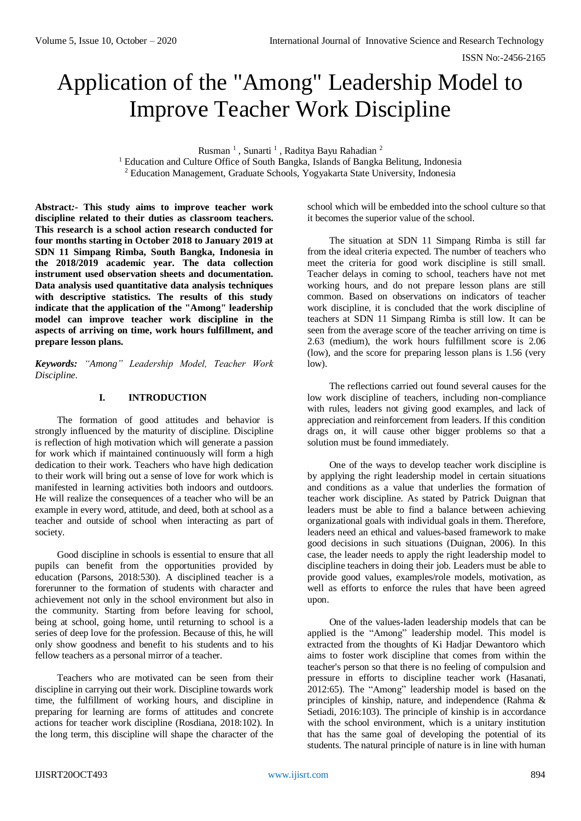# Application of the "Among" Leadership Model to Improve Teacher Work Discipline

Rusman<sup>1</sup>, Sunarti<sup>1</sup>, Raditya Bayu Rahadian<sup>2</sup>

<sup>1</sup> Education and Culture Office of South Bangka, Islands of Bangka Belitung, Indonesia <sup>2</sup> Education Management, Graduate Schools, Yogyakarta State University, Indonesia

**Abstract***:-* **This study aims to improve teacher work discipline related to their duties as classroom teachers. This research is a school action research conducted for four months starting in October 2018 to January 2019 at SDN 11 Simpang Rimba, South Bangka, Indonesia in the 2018/2019 academic year. The data collection instrument used observation sheets and documentation. Data analysis used quantitative data analysis techniques with descriptive statistics. The results of this study indicate that the application of the "Among" leadership model can improve teacher work discipline in the aspects of arriving on time, work hours fulfillment, and prepare lesson plans.**

*Keywords: "Among" Leadership Model, Teacher Work Discipline.*

# **I. INTRODUCTION**

The formation of good attitudes and behavior is strongly influenced by the maturity of discipline. Discipline is reflection of high motivation which will generate a passion for work which if maintained continuously will form a high dedication to their work. Teachers who have high dedication to their work will bring out a sense of love for work which is manifested in learning activities both indoors and outdoors. He will realize the consequences of a teacher who will be an example in every word, attitude, and deed, both at school as a teacher and outside of school when interacting as part of society.

Good discipline in schools is essential to ensure that all pupils can benefit from the opportunities provided by education (Parsons, 2018:530). A disciplined teacher is a forerunner to the formation of students with character and achievement not only in the school environment but also in the community. Starting from before leaving for school, being at school, going home, until returning to school is a series of deep love for the profession. Because of this, he will only show goodness and benefit to his students and to his fellow teachers as a personal mirror of a teacher.

Teachers who are motivated can be seen from their discipline in carrying out their work. Discipline towards work time, the fulfillment of working hours, and discipline in preparing for learning are forms of attitudes and concrete actions for teacher work discipline (Rosdiana, 2018:102). In the long term, this discipline will shape the character of the

school which will be embedded into the school culture so that it becomes the superior value of the school.

The situation at SDN 11 Simpang Rimba is still far from the ideal criteria expected. The number of teachers who meet the criteria for good work discipline is still small. Teacher delays in coming to school, teachers have not met working hours, and do not prepare lesson plans are still common. Based on observations on indicators of teacher work discipline, it is concluded that the work discipline of teachers at SDN 11 Simpang Rimba is still low. It can be seen from the average score of the teacher arriving on time is 2.63 (medium), the work hours fulfillment score is 2.06 (low), and the score for preparing lesson plans is 1.56 (very low).

The reflections carried out found several causes for the low work discipline of teachers, including non-compliance with rules, leaders not giving good examples, and lack of appreciation and reinforcement from leaders. If this condition drags on, it will cause other bigger problems so that a solution must be found immediately.

One of the ways to develop teacher work discipline is by applying the right leadership model in certain situations and conditions as a value that underlies the formation of teacher work discipline. As stated by Patrick Duignan that leaders must be able to find a balance between achieving organizational goals with individual goals in them. Therefore, leaders need an ethical and values-based framework to make good decisions in such situations (Duignan, 2006). In this case, the leader needs to apply the right leadership model to discipline teachers in doing their job. Leaders must be able to provide good values, examples/role models, motivation, as well as efforts to enforce the rules that have been agreed upon.

One of the values-laden leadership models that can be applied is the "Among" leadership model. This model is extracted from the thoughts of Ki Hadjar Dewantoro which aims to foster work discipline that comes from within the teacher's person so that there is no feeling of compulsion and pressure in efforts to discipline teacher work (Hasanati, 2012:65). The "Among" leadership model is based on the principles of kinship, nature, and independence (Rahma & Setiadi, 2016:103). The principle of kinship is in accordance with the school environment, which is a unitary institution that has the same goal of developing the potential of its students. The natural principle of nature is in line with human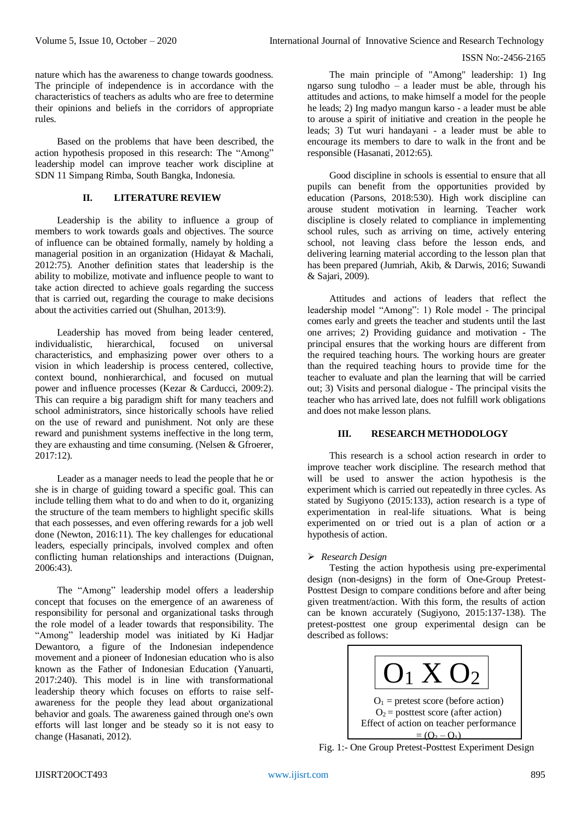nature which has the awareness to change towards goodness. The principle of independence is in accordance with the characteristics of teachers as adults who are free to determine their opinions and beliefs in the corridors of appropriate rules.

Based on the problems that have been described, the action hypothesis proposed in this research: The "Among" leadership model can improve teacher work discipline at SDN 11 Simpang Rimba, South Bangka, Indonesia.

# **II. LITERATURE REVIEW**

Leadership is the ability to influence a group of members to work towards goals and objectives. The source of influence can be obtained formally, namely by holding a managerial position in an organization (Hidayat & Machali, 2012:75). Another definition states that leadership is the ability to mobilize, motivate and influence people to want to take action directed to achieve goals regarding the success that is carried out, regarding the courage to make decisions about the activities carried out (Shulhan, 2013:9).

Leadership has moved from being leader centered, individualistic, hierarchical, focused on universal characteristics, and emphasizing power over others to a vision in which leadership is process centered, collective, context bound, nonhierarchical, and focused on mutual power and influence processes (Kezar & Carducci, 2009:2). This can require a big paradigm shift for many teachers and school administrators, since historically schools have relied on the use of reward and punishment. Not only are these reward and punishment systems ineffective in the long term, they are exhausting and time consuming. (Nelsen & Gfroerer, 2017:12).

Leader as a manager needs to lead the people that he or she is in charge of guiding toward a specific goal. This can include telling them what to do and when to do it, organizing the structure of the team members to highlight specific skills that each possesses, and even offering rewards for a job well done (Newton, 2016:11). The key challenges for educational leaders, especially principals, involved complex and often conflicting human relationships and interactions (Duignan, 2006:43).

The "Among" leadership model offers a leadership concept that focuses on the emergence of an awareness of responsibility for personal and organizational tasks through the role model of a leader towards that responsibility. The "Among" leadership model was initiated by Ki Hadjar Dewantoro, a figure of the Indonesian independence movement and a pioneer of Indonesian education who is also known as the Father of Indonesian Education (Yanuarti, 2017:240). This model is in line with transformational leadership theory which focuses on efforts to raise selfawareness for the people they lead about organizational behavior and goals. The awareness gained through one's own efforts will last longer and be steady so it is not easy to change (Hasanati, 2012).

The main principle of "Among" leadership: 1) Ing ngarso sung tulodho – a leader must be able, through his attitudes and actions, to make himself a model for the people he leads; 2) Ing madyo mangun karso - a leader must be able to arouse a spirit of initiative and creation in the people he leads; 3) Tut wuri handayani - a leader must be able to encourage its members to dare to walk in the front and be responsible (Hasanati, 2012:65).

Good discipline in schools is essential to ensure that all pupils can benefit from the opportunities provided by education (Parsons, 2018:530). High work discipline can arouse student motivation in learning. Teacher work discipline is closely related to compliance in implementing school rules, such as arriving on time, actively entering school, not leaving class before the lesson ends, and delivering learning material according to the lesson plan that has been prepared (Jumriah, Akib, & Darwis, 2016; Suwandi & Sajari, 2009).

Attitudes and actions of leaders that reflect the leadership model "Among": 1) Role model - The principal comes early and greets the teacher and students until the last one arrives; 2) Providing guidance and motivation - The principal ensures that the working hours are different from the required teaching hours. The working hours are greater than the required teaching hours to provide time for the teacher to evaluate and plan the learning that will be carried out; 3) Visits and personal dialogue - The principal visits the teacher who has arrived late, does not fulfill work obligations and does not make lesson plans.

# **III. RESEARCH METHODOLOGY**

This research is a school action research in order to improve teacher work discipline. The research method that will be used to answer the action hypothesis is the experiment which is carried out repeatedly in three cycles. As stated by Sugiyono (2015:133), action research is a type of experimentation in real-life situations. What is being experimented on or tried out is a plan of action or a hypothesis of action.

# *Research Design*

Testing the action hypothesis using pre-experimental design (non-designs) in the form of One-Group Pretest-Posttest Design to compare conditions before and after being given treatment/action. With this form, the results of action can be known accurately (Sugiyono, 2015:137-138). The pretest-posttest one group experimental design can be described as follows:



Fig. 1:- One Group Pretest-Posttest Experiment Design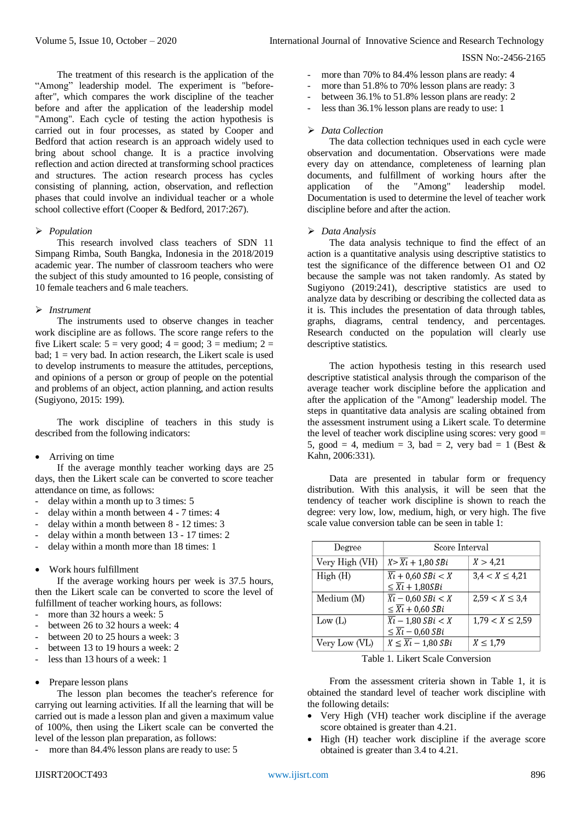The treatment of this research is the application of the "Among" leadership model. The experiment is "beforeafter", which compares the work discipline of the teacher before and after the application of the leadership model "Among". Each cycle of testing the action hypothesis is carried out in four processes, as stated by Cooper and Bedford that action research is an approach widely used to bring about school change. It is a practice involving reflection and action directed at transforming school practices and structures. The action research process has cycles consisting of planning, action, observation, and reflection phases that could involve an individual teacher or a whole school collective effort (Cooper & Bedford, 2017:267).

### *Population*

This research involved class teachers of SDN 11 Simpang Rimba, South Bangka, Indonesia in the 2018/2019 academic year. The number of classroom teachers who were the subject of this study amounted to 16 people, consisting of 10 female teachers and 6 male teachers.

# *Instrument*

The instruments used to observe changes in teacher work discipline are as follows. The score range refers to the five Likert scale:  $5 = \text{very good}; 4 = \text{good}; 3 = \text{medium}; 2 = \text{orange}$ bad;  $1 = \text{very bad}$ . In action research, the Likert scale is used to develop instruments to measure the attitudes, perceptions, and opinions of a person or group of people on the potential and problems of an object, action planning, and action results (Sugiyono, 2015: 199).

The work discipline of teachers in this study is described from the following indicators:

#### Arriving on time

If the average monthly teacher working days are 25 days, then the Likert scale can be converted to score teacher attendance on time, as follows:

- delay within a month up to 3 times: 5
- delay within a month between 4 7 times: 4
- delay within a month between 8 12 times: 3
- delay within a month between 13 17 times: 2
- delay within a month more than 18 times: 1
- Work hours fulfillment

If the average working hours per week is 37.5 hours, then the Likert scale can be converted to score the level of fulfillment of teacher working hours, as follows:

- more than 32 hours a week: 5
- between 26 to 32 hours a week: 4
- between 20 to 25 hours a week: 3
- between 13 to 19 hours a week: 2
- less than 13 hours of a week: 1
- Prepare lesson plans

The lesson plan becomes the teacher's reference for carrying out learning activities. If all the learning that will be carried out is made a lesson plan and given a maximum value of 100%, then using the Likert scale can be converted the level of the lesson plan preparation, as follows:

more than 84.4% lesson plans are ready to use: 5

- more than 70% to 84.4% lesson plans are ready: 4
- more than 51.8% to 70% lesson plans are ready: 3
- between 36.1% to 51.8% lesson plans are ready: 2
- less than 36.1% lesson plans are ready to use: 1

## *Data Collection*

The data collection techniques used in each cycle were observation and documentation. Observations were made every day on attendance, completeness of learning plan documents, and fulfillment of working hours after the application of the "Among" leadership model. application of the "Among" leadership model. Documentation is used to determine the level of teacher work discipline before and after the action.

### *Data Analysis*

The data analysis technique to find the effect of an action is a quantitative analysis using descriptive statistics to test the significance of the difference between O1 and O2 because the sample was not taken randomly. As stated by Sugiyono (2019:241), descriptive statistics are used to analyze data by describing or describing the collected data as it is. This includes the presentation of data through tables, graphs, diagrams, central tendency, and percentages. Research conducted on the population will clearly use descriptive statistics.

The action hypothesis testing in this research used descriptive statistical analysis through the comparison of the average teacher work discipline before the application and after the application of the "Among" leadership model. The steps in quantitative data analysis are scaling obtained from the assessment instrument using a Likert scale. To determine the level of teacher work discipline using scores: very good  $=$ 5, good = 4, medium = 3, bad = 2, very bad = 1 (Best & Kahn, 2006:331).

Data are presented in tabular form or frequency distribution. With this analysis, it will be seen that the tendency of teacher work discipline is shown to reach the degree: very low, low, medium, high, or very high. The five scale value conversion table can be seen in table 1:

| Degree         | Score Interval                               |                      |  |
|----------------|----------------------------------------------|----------------------|--|
| Very High (VH) | $X > \overline{X}$ $\overline{t}$ + 1,80 SBi | X > 4,21             |  |
| High(H)        | $\overline{X}$ <sub>k</sub> + 0,60 SBi < X   | $3.4 < X \leq 4.21$  |  |
|                | $\leq \overline{X}i + 1,80SBi$               |                      |  |
| Medium (M)     | $\overline{Xi}$ – 0,60 SBi < X               | $2,59 < X \leq 3,4$  |  |
|                | $\leq \overline{X}i + 0.60$ SBi              |                      |  |
| Low $(L)$      | $\overline{Xi}$ – 1,80 SBi < X               | $1,79 < X \leq 2,59$ |  |
|                | $\leq \overline{Xi}$ – 0,60 SBi              |                      |  |
| Very Low (VL)  | $X \leq \overline{X}i - 1,80 SBi$            | $X \leq 1.79$        |  |

Table 1. Likert Scale Conversion

From the assessment criteria shown in Table 1, it is obtained the standard level of teacher work discipline with the following details:

- Very High (VH) teacher work discipline if the average score obtained is greater than 4.21.
- High (H) teacher work discipline if the average score obtained is greater than 3.4 to 4.21.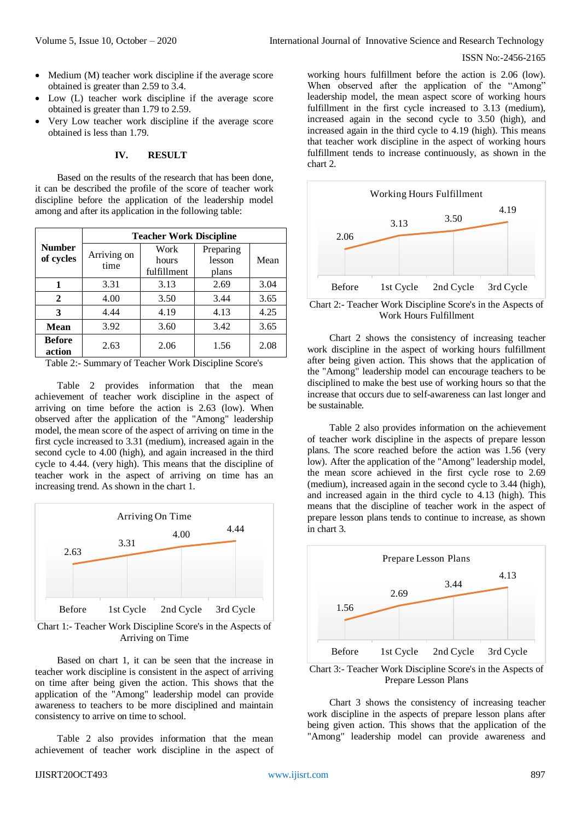- Medium (M) teacher work discipline if the average score obtained is greater than 2.59 to 3.4.
- Low (L) teacher work discipline if the average score obtained is greater than 1.79 to 2.59.
- Very Low teacher work discipline if the average score obtained is less than 1.79.

### **IV. RESULT**

Based on the results of the research that has been done, it can be described the profile of the score of teacher work discipline before the application of the leadership model among and after its application in the following table:

|                            | <b>Teacher Work Discipline</b> |             |           |      |  |
|----------------------------|--------------------------------|-------------|-----------|------|--|
| <b>Number</b><br>of cycles | Arriving on<br>time            | Work        | Preparing |      |  |
|                            |                                | hours       | lesson    | Mean |  |
|                            |                                | fulfillment | plans     |      |  |
|                            | 3.31                           | 3.13        | 2.69      | 3.04 |  |
| 2                          | 4.00                           | 3.50        | 3.44      | 3.65 |  |
| 3                          | 4.44                           | 4.19        | 4.13      | 4.25 |  |
| Mean                       | 3.92                           | 3.60        | 3.42      | 3.65 |  |
| <b>Before</b><br>action    | 2.63                           | 2.06        | 1.56      | 2.08 |  |

Table 2:- Summary of Teacher Work Discipline Score's

Table 2 provides information that the mean achievement of teacher work discipline in the aspect of arriving on time before the action is 2.63 (low). When observed after the application of the "Among" leadership model, the mean score of the aspect of arriving on time in the first cycle increased to 3.31 (medium), increased again in the second cycle to 4.00 (high), and again increased in the third cycle to 4.44. (very high). This means that the discipline of teacher work in the aspect of arriving on time has an increasing trend. As shown in the chart 1.



Chart 1:- Teacher Work Discipline Score's in the Aspects of Arriving on Time

Based on chart 1, it can be seen that the increase in teacher work discipline is consistent in the aspect of arriving on time after being given the action. This shows that the application of the "Among" leadership model can provide awareness to teachers to be more disciplined and maintain consistency to arrive on time to school.

Table 2 also provides information that the mean achievement of teacher work discipline in the aspect of

working hours fulfillment before the action is 2.06 (low). When observed after the application of the "Among" leadership model, the mean aspect score of working hours fulfillment in the first cycle increased to 3.13 (medium), increased again in the second cycle to 3.50 (high), and increased again in the third cycle to 4.19 (high). This means that teacher work discipline in the aspect of working hours fulfillment tends to increase continuously, as shown in the chart 2.



Chart 2:- Teacher Work Discipline Score's in the Aspects of Work Hours Fulfillment

Chart 2 shows the consistency of increasing teacher work discipline in the aspect of working hours fulfillment after being given action. This shows that the application of the "Among" leadership model can encourage teachers to be disciplined to make the best use of working hours so that the increase that occurs due to self-awareness can last longer and be sustainable.

Table 2 also provides information on the achievement of teacher work discipline in the aspects of prepare lesson plans. The score reached before the action was 1.56 (very low). After the application of the "Among" leadership model, the mean score achieved in the first cycle rose to 2.69 (medium), increased again in the second cycle to 3.44 (high), and increased again in the third cycle to 4.13 (high). This means that the discipline of teacher work in the aspect of prepare lesson plans tends to continue to increase, as shown in chart 3.



Chart 3:- Teacher Work Discipline Score's in the Aspects of Prepare Lesson Plans

Chart 3 shows the consistency of increasing teacher work discipline in the aspects of prepare lesson plans after being given action. This shows that the application of the "Among" leadership model can provide awareness and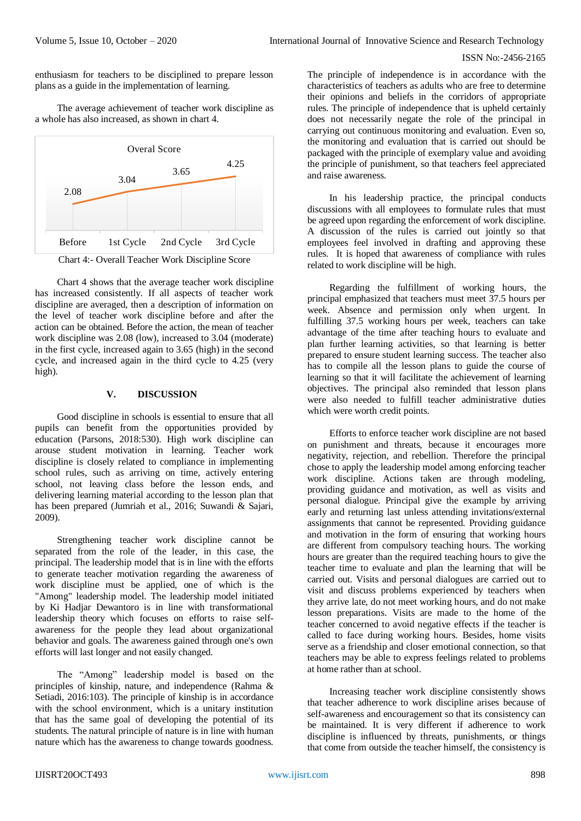enthusiasm for teachers to be disciplined to prepare lesson plans as a guide in the implementation of learning.

The average achievement of teacher work discipline as a whole has also increased, as shown in chart 4.



Chart 4 shows that the average teacher work discipline has increased consistently. If all aspects of teacher work discipline are averaged, then a description of information on the level of teacher work discipline before and after the action can be obtained. Before the action, the mean of teacher work discipline was 2.08 (low), increased to 3.04 (moderate) in the first cycle, increased again to 3.65 (high) in the second cycle, and increased again in the third cycle to 4.25 (very high).

### **V. DISCUSSION**

Good discipline in schools is essential to ensure that all pupils can benefit from the opportunities provided by education (Parsons, 2018:530). High work discipline can arouse student motivation in learning. Teacher work discipline is closely related to compliance in implementing school rules, such as arriving on time, actively entering school, not leaving class before the lesson ends, and delivering learning material according to the lesson plan that has been prepared (Jumriah et al., 2016; Suwandi & Sajari, 2009).

Strengthening teacher work discipline cannot be separated from the role of the leader, in this case, the principal. The leadership model that is in line with the efforts to generate teacher motivation regarding the awareness of work discipline must be applied, one of which is the "Among" leadership model. The leadership model initiated by Ki Hadjar Dewantoro is in line with transformational leadership theory which focuses on efforts to raise selfawareness for the people they lead about organizational behavior and goals. The awareness gained through one's own efforts will last longer and not easily changed.

The "Among" leadership model is based on the principles of kinship, nature, and independence (Rahma & Setiadi, 2016:103). The principle of kinship is in accordance with the school environment, which is a unitary institution that has the same goal of developing the potential of its students. The natural principle of nature is in line with human nature which has the awareness to change towards goodness.

The principle of independence is in accordance with the characteristics of teachers as adults who are free to determine their opinions and beliefs in the corridors of appropriate rules. The principle of independence that is upheld certainly does not necessarily negate the role of the principal in carrying out continuous monitoring and evaluation. Even so, the monitoring and evaluation that is carried out should be packaged with the principle of exemplary value and avoiding the principle of punishment, so that teachers feel appreciated and raise awareness.

In his leadership practice, the principal conducts discussions with all employees to formulate rules that must be agreed upon regarding the enforcement of work discipline. A discussion of the rules is carried out jointly so that employees feel involved in drafting and approving these rules. It is hoped that awareness of compliance with rules related to work discipline will be high.

Regarding the fulfillment of working hours, the principal emphasized that teachers must meet 37.5 hours per week. Absence and permission only when urgent. In fulfilling 37.5 working hours per week, teachers can take advantage of the time after teaching hours to evaluate and plan further learning activities, so that learning is better prepared to ensure student learning success. The teacher also has to compile all the lesson plans to guide the course of learning so that it will facilitate the achievement of learning objectives. The principal also reminded that lesson plans were also needed to fulfill teacher administrative duties which were worth credit points.

Efforts to enforce teacher work discipline are not based on punishment and threats, because it encourages more negativity, rejection, and rebellion. Therefore the principal chose to apply the leadership model among enforcing teacher work discipline. Actions taken are through modeling, providing guidance and motivation, as well as visits and personal dialogue. Principal give the example by arriving early and returning last unless attending invitations/external assignments that cannot be represented. Providing guidance and motivation in the form of ensuring that working hours are different from compulsory teaching hours. The working hours are greater than the required teaching hours to give the teacher time to evaluate and plan the learning that will be carried out. Visits and personal dialogues are carried out to visit and discuss problems experienced by teachers when they arrive late, do not meet working hours, and do not make lesson preparations. Visits are made to the home of the teacher concerned to avoid negative effects if the teacher is called to face during working hours. Besides, home visits serve as a friendship and closer emotional connection, so that teachers may be able to express feelings related to problems at home rather than at school.

Increasing teacher work discipline consistently shows that teacher adherence to work discipline arises because of self-awareness and encouragement so that its consistency can be maintained. It is very different if adherence to work discipline is influenced by threats, punishments, or things that come from outside the teacher himself, the consistency is